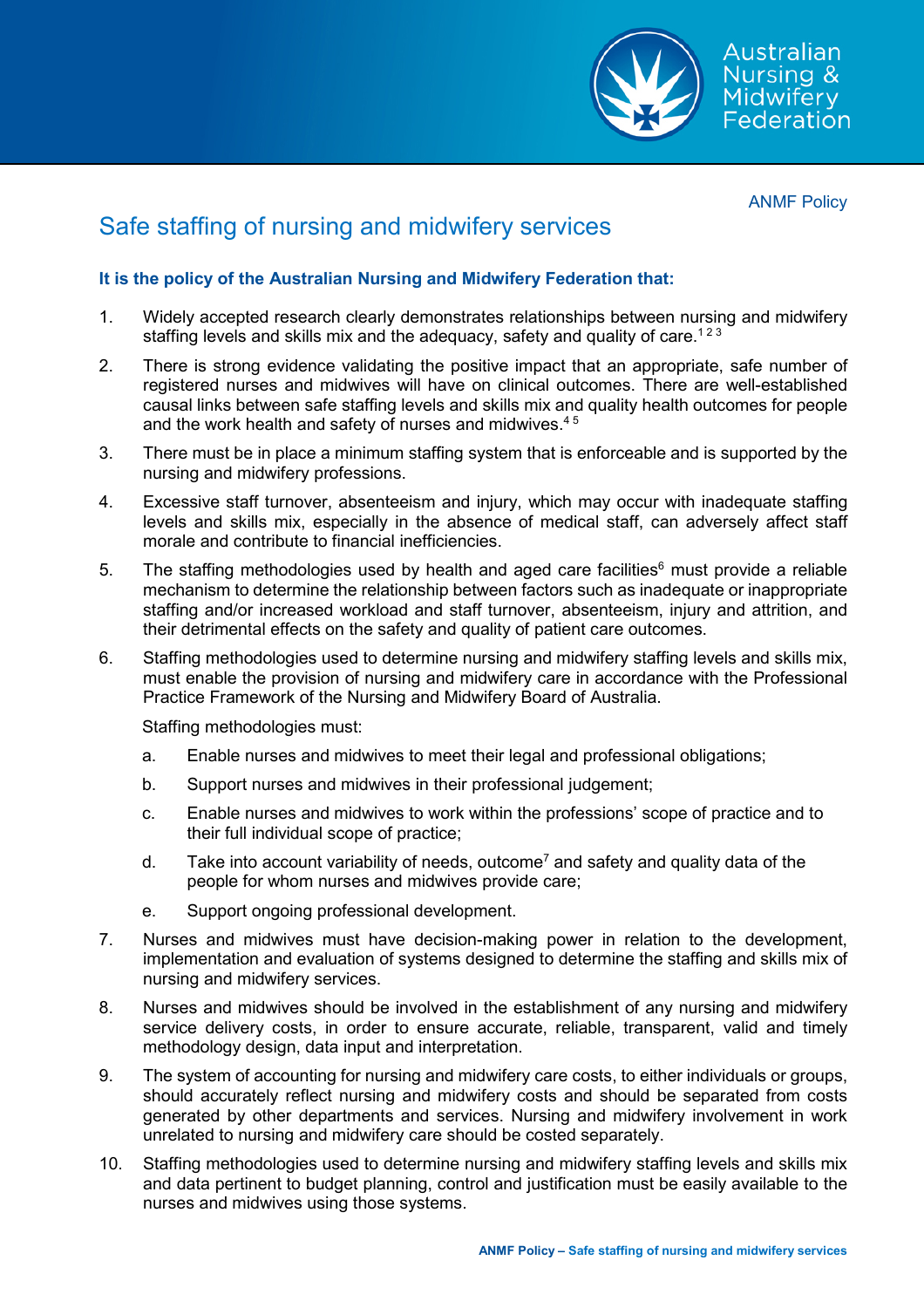

ANMF Policy

## Safe staffing of nursing and midwifery services

## **It is the policy of the Australian Nursing and Midwifery Federation that:**

- 1. Widely accepted research clearly demonstrates relationships between nursing and midwifery staffing levels and skills mix and the adequacy, safety and quality of care.<sup>123</sup>
- 2. There is strong evidence validating the positive impact that an appropriate, safe number of registered nurses and midwives will have on clinical outcomes. There are well-established causal links between safe staffing levels and skills mix and quality health outcomes for people and the work health and safety of nurses and midwives.<sup>45</sup>
- 3. There must be in place a minimum staffing system that is enforceable and is supported by the nursing and midwifery professions.
- 4. Excessive staff turnover, absenteeism and injury, which may occur with inadequate staffing levels and skills mix, especially in the absence of medical staff, can adversely affect staff morale and contribute to financial inefficiencies.
- 5. The staffing methodologies used by health and aged care facilities<sup>6</sup> must provide a reliable mechanism to determine the relationship between factors such as inadequate or inappropriate staffing and/or increased workload and staff turnover, absenteeism, injury and attrition, and their detrimental effects on the safety and quality of patient care outcomes.
- 6. Staffing methodologies used to determine nursing and midwifery staffing levels and skills mix, must enable the provision of nursing and midwifery care in accordance with the Professional Practice Framework of the Nursing and Midwifery Board of Australia.

Staffing methodologies must:

- a. Enable nurses and midwives to meet their legal and professional obligations;
- b. Support nurses and midwives in their professional judgement;
- c. Enable nurses and midwives to work within the professions' scope of practice and to their full individual scope of practice;
- d. Take into account variability of needs, outcome<sup>7</sup> and safety and quality data of the people for whom nurses and midwives provide care;
- e. Support ongoing professional development.
- 7. Nurses and midwives must have decision-making power in relation to the development, implementation and evaluation of systems designed to determine the staffing and skills mix of nursing and midwifery services.
- 8. Nurses and midwives should be involved in the establishment of any nursing and midwifery service delivery costs, in order to ensure accurate, reliable, transparent, valid and timely methodology design, data input and interpretation.
- 9. The system of accounting for nursing and midwifery care costs, to either individuals or groups, should accurately reflect nursing and midwifery costs and should be separated from costs generated by other departments and services. Nursing and midwifery involvement in work unrelated to nursing and midwifery care should be costed separately.
- 10. Staffing methodologies used to determine nursing and midwifery staffing levels and skills mix and data pertinent to budget planning, control and justification must be easily available to the nurses and midwives using those systems.